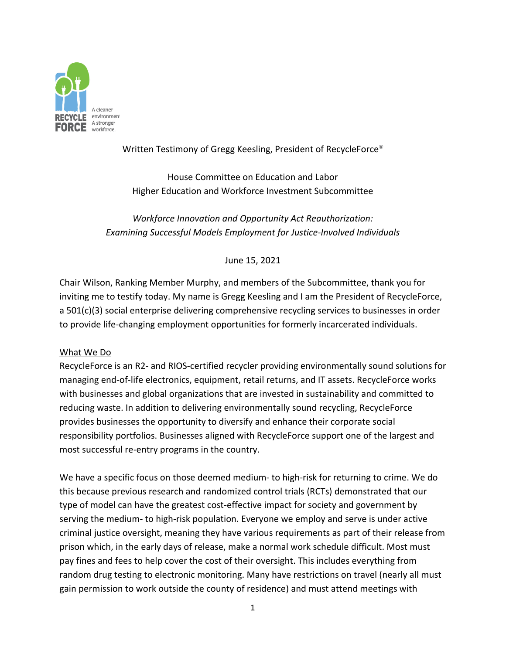

# Written Testimony of Gregg Keesling, President of RecycleForce®

House Committee on Education and Labor Higher Education and Workforce Investment Subcommittee

*Workforce Innovation and Opportunity Act Reauthorization: Examining Successful Models Employment for Justice‐Involved Individuals*

## June 15, 2021

Chair Wilson, Ranking Member Murphy, and members of the Subcommittee, thank you for inviting me to testify today. My name is Gregg Keesling and I am the President of RecycleForce, a 501(c)(3) social enterprise delivering comprehensive recycling services to businesses in order to provide life‐changing employment opportunities for formerly incarcerated individuals.

## What We Do

RecycleForce is an R2‐ and RIOS‐certified recycler providing environmentally sound solutions for managing end‐of‐life electronics, equipment, retail returns, and IT assets. RecycleForce works with businesses and global organizations that are invested in sustainability and committed to reducing waste. In addition to delivering environmentally sound recycling, RecycleForce provides businesses the opportunity to diversify and enhance their corporate social responsibility portfolios. Businesses aligned with RecycleForce support one of the largest and most successful re‐entry programs in the country.

We have a specific focus on those deemed medium- to high-risk for returning to crime. We do this because previous research and randomized control trials (RCTs) demonstrated that our type of model can have the greatest cost‐effective impact for society and government by serving the medium- to high-risk population. Everyone we employ and serve is under active criminal justice oversight, meaning they have various requirements as part of their release from prison which, in the early days of release, make a normal work schedule difficult. Most must pay fines and fees to help cover the cost of their oversight. This includes everything from random drug testing to electronic monitoring. Many have restrictions on travel (nearly all must gain permission to work outside the county of residence) and must attend meetings with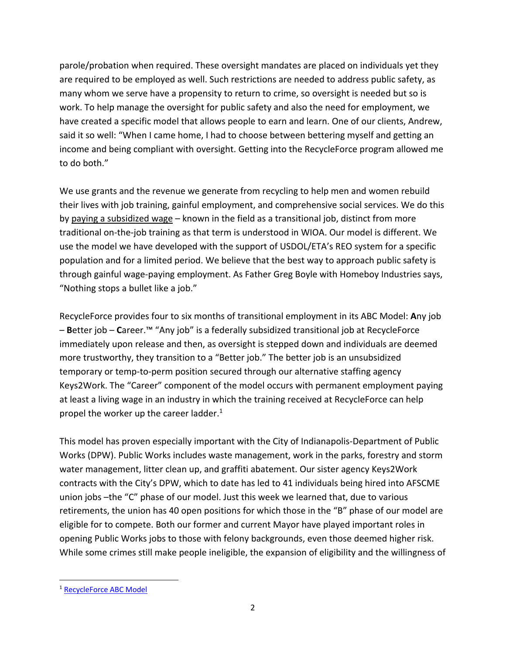parole/probation when required. These oversight mandates are placed on individuals yet they are required to be employed as well. Such restrictions are needed to address public safety, as many whom we serve have a propensity to return to crime, so oversight is needed but so is work. To help manage the oversight for public safety and also the need for employment, we have created a specific model that allows people to earn and learn. One of our clients, Andrew, said it so well: "When I came home, I had to choose between bettering myself and getting an income and being compliant with oversight. Getting into the RecycleForce program allowed me to do both."

We use grants and the revenue we generate from recycling to help men and women rebuild their lives with job training, gainful employment, and comprehensive social services. We do this by paying a subsidized wage – known in the field as a transitional job, distinct from more traditional on‐the‐job training as that term is understood in WIOA. Our model is different. We use the model we have developed with the support of USDOL/ETA's REO system for a specific population and for a limited period. We believe that the best way to approach public safety is through gainful wage‐paying employment. As Father Greg Boyle with Homeboy Industries says, "Nothing stops a bullet like a job."

RecycleForce provides four to six months of transitional employment in its ABC Model: **A**ny job – **B**etter job – **C**areer.™ "Any job" is a federally subsidized transitional job at RecycleForce immediately upon release and then, as oversight is stepped down and individuals are deemed more trustworthy, they transition to a "Better job." The better job is an unsubsidized temporary or temp-to-perm position secured through our alternative staffing agency Keys2Work. The "Career" component of the model occurs with permanent employment paying at least a living wage in an industry in which the training received at RecycleForce can help propel the worker up the career ladder. $1$ 

This model has proven especially important with the City of Indianapolis‐Department of Public Works (DPW). Public Works includes waste management, work in the parks, forestry and storm water management, litter clean up, and graffiti abatement. Our sister agency Keys2Work contracts with the City's DPW, which to date has led to 41 individuals being hired into AFSCME union jobs –the "C" phase of our model. Just this week we learned that, due to various retirements, the union has 40 open positions for which those in the "B" phase of our model are eligible for to compete. Both our former and current Mayor have played important roles in opening Public Works jobs to those with felony backgrounds, even those deemed higher risk. While some crimes still make people ineligible, the expansion of eligibility and the willingness of

<sup>1</sup> RecycleForce ABC Model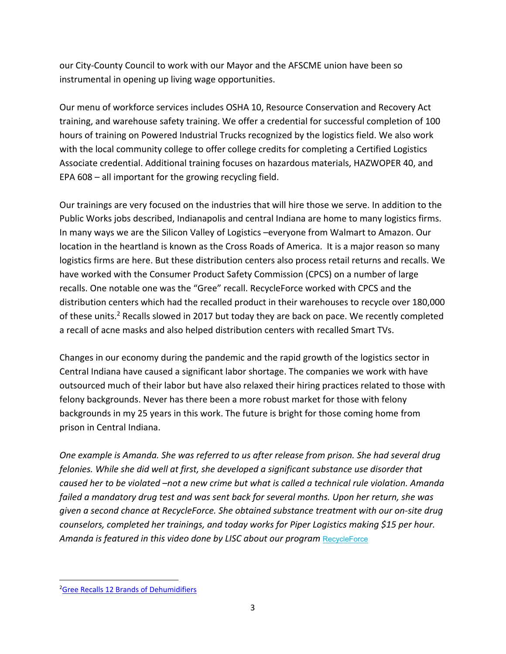our City‐County Council to work with our Mayor and the AFSCME union have been so instrumental in opening up living wage opportunities.

Our menu of workforce services includes OSHA 10, Resource Conservation and Recovery Act training, and warehouse safety training. We offer a credential for successful completion of 100 hours of training on Powered Industrial Trucks recognized by the logistics field. We also work with the local community college to offer college credits for completing a Certified Logistics Associate credential. Additional training focuses on hazardous materials, HAZWOPER 40, and EPA 608 – all important for the growing recycling field.

Our trainings are very focused on the industries that will hire those we serve. In addition to the Public Works jobs described, Indianapolis and central Indiana are home to many logistics firms. In many ways we are the Silicon Valley of Logistics –everyone from Walmart to Amazon. Our location in the heartland is known as the Cross Roads of America. It is a major reason so many logistics firms are here. But these distribution centers also process retail returns and recalls. We have worked with the Consumer Product Safety Commission (CPCS) on a number of large recalls. One notable one was the "Gree" recall. RecycleForce worked with CPCS and the distribution centers which had the recalled product in their warehouses to recycle over 180,000 of these units.2 Recalls slowed in 2017 but today they are back on pace. We recently completed a recall of acne masks and also helped distribution centers with recalled Smart TVs.

Changes in our economy during the pandemic and the rapid growth of the logistics sector in Central Indiana have caused a significant labor shortage. The companies we work with have outsourced much of their labor but have also relaxed their hiring practices related to those with felony backgrounds. Never has there been a more robust market for those with felony backgrounds in my 25 years in this work. The future is bright for those coming home from prison in Central Indiana.

*One example is Amanda. She was referred to us after release from prison. She had several drug felonies. While she did well at first, she developed a significant substance use disorder that caused her to be violated –not a new crime but what is called a technical rule violation. Amanda failed a mandatory drug test and was sent back for several months. Upon her return, she was given a second chance at RecycleForce. She obtained substance treatment with our on‐site drug counselors, completed her trainings, and today works for Piper Logistics making \$15 per hour. Amanda is featured in this video done by LISC about our program* RecycleForce

<sup>&</sup>lt;sup>2</sup>Gree Recalls 12 Brands of Dehumidifiers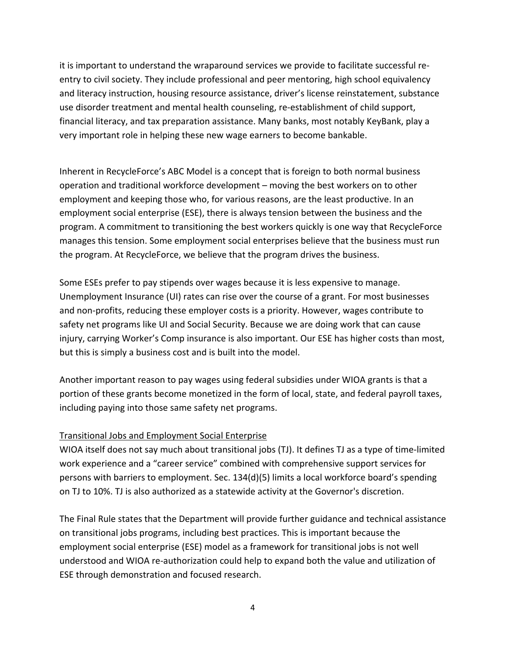it is important to understand the wraparound services we provide to facilitate successful re‐ entry to civil society. They include professional and peer mentoring, high school equivalency and literacy instruction, housing resource assistance, driver's license reinstatement, substance use disorder treatment and mental health counseling, re‐establishment of child support, financial literacy, and tax preparation assistance. Many banks, most notably KeyBank, play a very important role in helping these new wage earners to become bankable.

Inherent in RecycleForce's ABC Model is a concept that is foreign to both normal business operation and traditional workforce development – moving the best workers on to other employment and keeping those who, for various reasons, are the least productive. In an employment social enterprise (ESE), there is always tension between the business and the program. A commitment to transitioning the best workers quickly is one way that RecycleForce manages this tension. Some employment social enterprises believe that the business must run the program. At RecycleForce, we believe that the program drives the business.

Some ESEs prefer to pay stipends over wages because it is less expensive to manage. Unemployment Insurance (UI) rates can rise over the course of a grant. For most businesses and non‐profits, reducing these employer costs is a priority. However, wages contribute to safety net programs like UI and Social Security. Because we are doing work that can cause injury, carrying Worker's Comp insurance is also important. Our ESE has higher costs than most, but this is simply a business cost and is built into the model.

Another important reason to pay wages using federal subsidies under WIOA grants is that a portion of these grants become monetized in the form of local, state, and federal payroll taxes, including paying into those same safety net programs.

## Transitional Jobs and Employment Social Enterprise

WIOA itself does not say much about transitional jobs (TJ). It defines TJ as a type of time-limited work experience and a "career service" combined with comprehensive support services for persons with barriers to employment. Sec. 134(d)(5) limits a local workforce board's spending on TJ to 10%. TJ is also authorized as a statewide activity at the Governor's discretion.

The Final Rule states that the Department will provide further guidance and technical assistance on transitional jobs programs, including best practices. This is important because the employment social enterprise (ESE) model as a framework for transitional jobs is not well understood and WIOA re‐authorization could help to expand both the value and utilization of ESE through demonstration and focused research.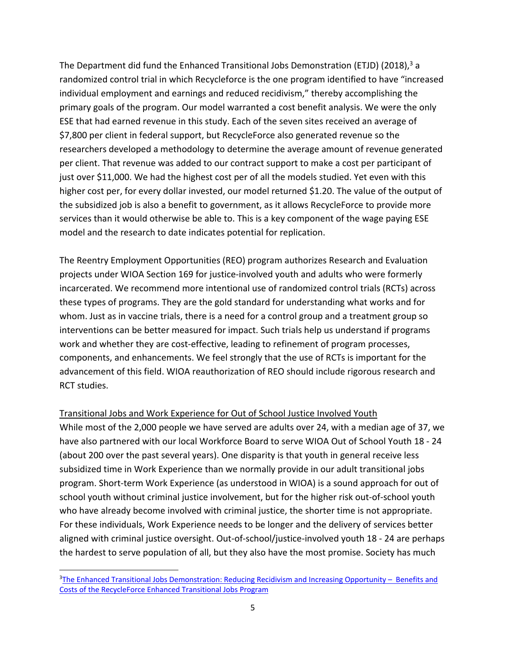The Department did fund the Enhanced Transitional Jobs Demonstration (ETJD) (2018), $3$  a randomized control trial in which Recycleforce is the one program identified to have "increased individual employment and earnings and reduced recidivism," thereby accomplishing the primary goals of the program. Our model warranted a cost benefit analysis. We were the only ESE that had earned revenue in this study. Each of the seven sites received an average of \$7,800 per client in federal support, but RecycleForce also generated revenue so the researchers developed a methodology to determine the average amount of revenue generated per client. That revenue was added to our contract support to make a cost per participant of just over \$11,000. We had the highest cost per of all the models studied. Yet even with this higher cost per, for every dollar invested, our model returned \$1.20. The value of the output of the subsidized job is also a benefit to government, as it allows RecycleForce to provide more services than it would otherwise be able to. This is a key component of the wage paying ESE model and the research to date indicates potential for replication.

The Reentry Employment Opportunities (REO) program authorizes Research and Evaluation projects under WIOA Section 169 for justice‐involved youth and adults who were formerly incarcerated. We recommend more intentional use of randomized control trials (RCTs) across these types of programs. They are the gold standard for understanding what works and for whom. Just as in vaccine trials, there is a need for a control group and a treatment group so interventions can be better measured for impact. Such trials help us understand if programs work and whether they are cost-effective, leading to refinement of program processes, components, and enhancements. We feel strongly that the use of RCTs is important for the advancement of this field. WIOA reauthorization of REO should include rigorous research and RCT studies.

### Transitional Jobs and Work Experience for Out of School Justice Involved Youth

While most of the 2,000 people we have served are adults over 24, with a median age of 37, we have also partnered with our local Workforce Board to serve WIOA Out of School Youth 18 - 24 (about 200 over the past several years). One disparity is that youth in general receive less subsidized time in Work Experience than we normally provide in our adult transitional jobs program. Short‐term Work Experience (as understood in WIOA) is a sound approach for out of school youth without criminal justice involvement, but for the higher risk out-of-school youth who have already become involved with criminal justice, the shorter time is not appropriate. For these individuals, Work Experience needs to be longer and the delivery of services better aligned with criminal justice oversight. Out‐of‐school/justice‐involved youth 18 ‐ 24 are perhaps the hardest to serve population of all, but they also have the most promise. Society has much

<sup>&</sup>lt;sup>3</sup>The Enhanced Transitional Jobs Demonstration: Reducing Recidivism and Increasing Opportunity - Benefits and Costs of the RecycleForce Enhanced Transitional Jobs Program